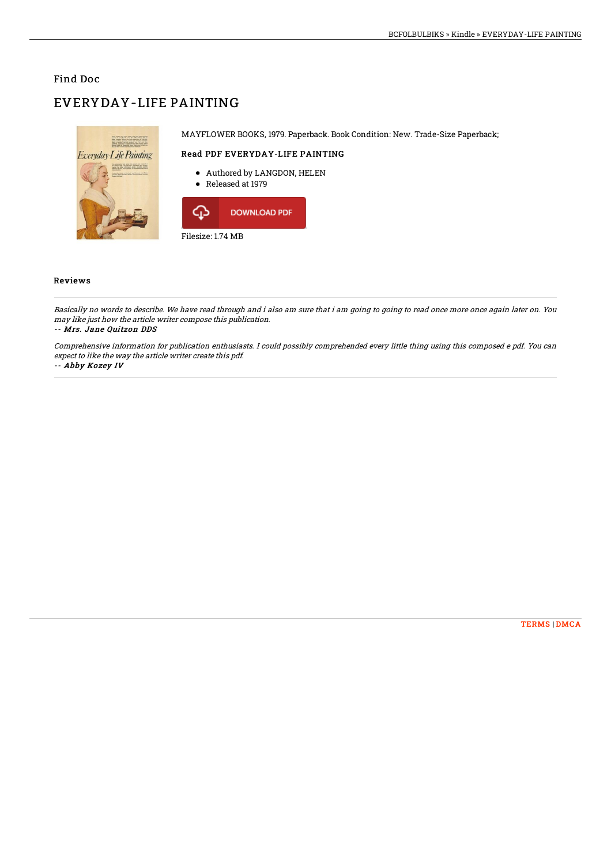## Find Doc

## EVERYDAY-LIFE PAINTING



## Reviews

Basically no words to describe. We have read through and i also am sure that i am going to going to read once more once again later on. You may like just how the article writer compose this publication.

-- Mrs. Jane Quitzon DDS

Comprehensive information for publication enthusiasts. I could possibly comprehended every little thing using this composed <sup>e</sup> pdf. You can expect to like the way the article writer create this pdf.

-- Abby Kozey IV